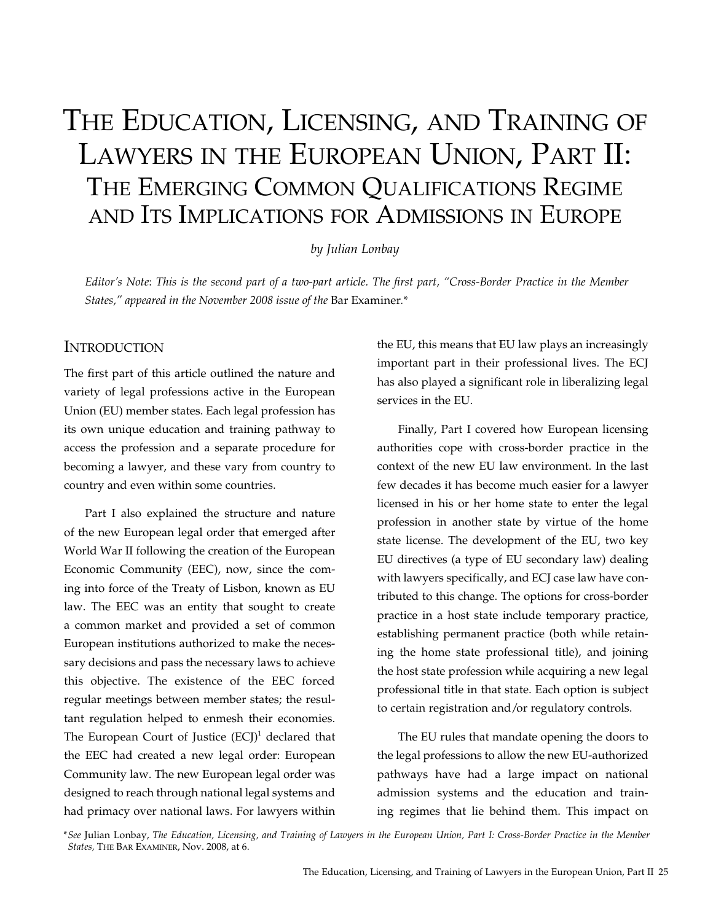# The Education, Licensing, and Training of Lawyers in the European Union, Part II: THE EMERGING COMMON QUALIFICATIONS REGIME and Its Implications for Admissions in Europe

#### *by Julian Lonbay*

*Editor's Note*: *This is the second part of a two-part article. The first part, "Cross-Border Practice in the Member States," appeared in the November 2008 issue of the* Bar Examiner*.*\*

#### **INTRODUCTION**

The first part of this article outlined the nature and variety of legal professions active in the European Union (EU) member states. Each legal profession has its own unique education and training pathway to access the profession and a separate procedure for becoming a lawyer, and these vary from country to country and even within some countries.

Part I also explained the structure and nature of the new European legal order that emerged after World War II following the creation of the European Economic Community (EEC), now, since the coming into force of the Treaty of Lisbon, known as EU law. The EEC was an entity that sought to create a common market and provided a set of common European institutions authorized to make the necessary decisions and pass the necessary laws to achieve this objective. The existence of the EEC forced regular meetings between member states; the resultant regulation helped to enmesh their economies. The European Court of Justice  $(ECJ)^1$  declared that the EEC had created a new legal order: European Community law. The new European legal order was designed to reach through national legal systems and had primacy over national laws. For lawyers within

the EU, this means that EU law plays an increasingly important part in their professional lives. The ECJ has also played a significant role in liberalizing legal services in the EU.

Finally, Part I covered how European licensing authorities cope with cross-border practice in the context of the new EU law environment. In the last few decades it has become much easier for a lawyer licensed in his or her home state to enter the legal profession in another state by virtue of the home state license. The development of the EU, two key EU directives (a type of EU secondary law) dealing with lawyers specifically, and ECJ case law have contributed to this change. The options for cross-border practice in a host state include temporary practice, establishing permanent practice (both while retaining the home state professional title), and joining the host state profession while acquiring a new legal professional title in that state. Each option is subject to certain registration and/or regulatory controls.

The EU rules that mandate opening the doors to the legal professions to allow the new EU-authorized pathways have had a large impact on national admission systems and the education and training regimes that lie behind them. This impact on

*\*See* Julian Lonbay, *The Education, Licensing, and Training of Lawyers in the European Union, Part I: Cross-Border Practice in the Member States,* The Bar Examiner, Nov. 2008, at 6.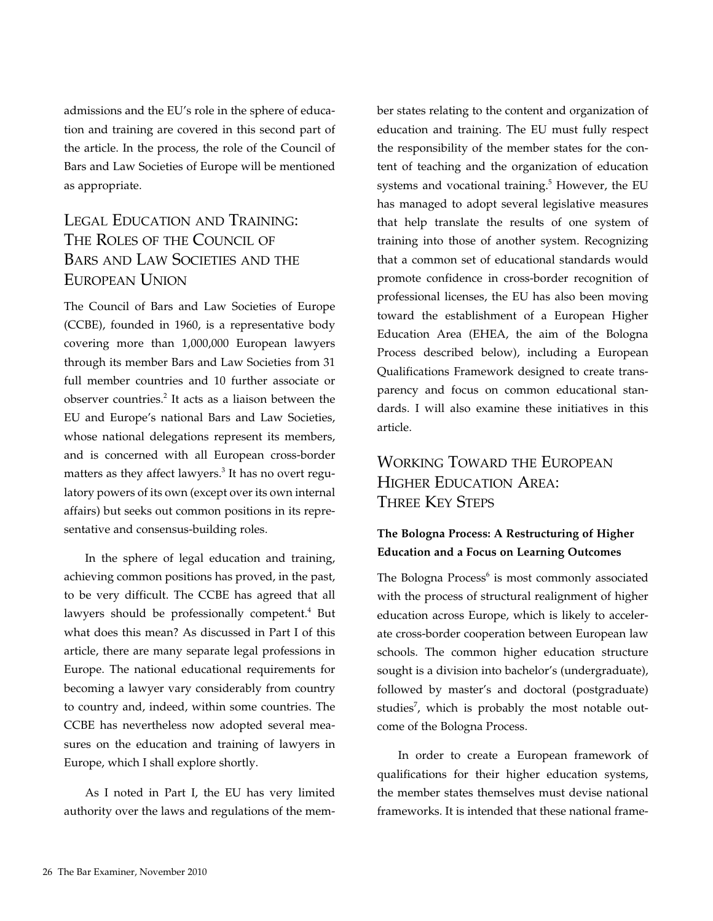admissions and the EU's role in the sphere of education and training are covered in this second part of the article. In the process, the role of the Council of Bars and Law Societies of Europe will be mentioned as appropriate.

# Legal Education and Training: The Roles of the Council of Bars and Law Societies and the European Union

The Council of Bars and Law Societies of Europe (CCBE), founded in 1960, is a representative body covering more than 1,000,000 European lawyers through its member Bars and Law Societies from 31 full member countries and 10 further associate or observer countries. $2$  It acts as a liaison between the EU and Europe's national Bars and Law Societies, whose national delegations represent its members, and is concerned with all European cross-border matters as they affect lawyers.<sup>3</sup> It has no overt regulatory powers of its own (except over its own internal affairs) but seeks out common positions in its representative and consensus-building roles.

In the sphere of legal education and training, achieving common positions has proved, in the past, to be very difficult. The CCBE has agreed that all lawyers should be professionally competent.<sup>4</sup> But what does this mean? As discussed in Part I of this article, there are many separate legal professions in Europe. The national educational requirements for becoming a lawyer vary considerably from country to country and, indeed, within some countries. The CCBE has nevertheless now adopted several measures on the education and training of lawyers in Europe, which I shall explore shortly.

As I noted in Part I, the EU has very limited authority over the laws and regulations of the member states relating to the content and organization of education and training. The EU must fully respect the responsibility of the member states for the content of teaching and the organization of education systems and vocational training.<sup>5</sup> However, the EU has managed to adopt several legislative measures that help translate the results of one system of training into those of another system. Recognizing that a common set of educational standards would promote confidence in cross-border recognition of professional licenses, the EU has also been moving toward the establishment of a European Higher Education Area (EHEA, the aim of the Bologna Process described below), including a European Qualifications Framework designed to create transparency and focus on common educational standards. I will also examine these initiatives in this article.

# Working Toward the European Higher Education Area: Three Key Steps

## **The Bologna Process: A Restructuring of Higher Education and a Focus on Learning Outcomes**

The Bologna Process<sup>6</sup> is most commonly associated with the process of structural realignment of higher education across Europe, which is likely to accelerate cross-border cooperation between European law schools. The common higher education structure sought is a division into bachelor's (undergraduate), followed by master's and doctoral (postgraduate) studies<sup>7</sup>, which is probably the most notable outcome of the Bologna Process.

In order to create a European framework of qualifications for their higher education systems, the member states themselves must devise national frameworks. It is intended that these national frame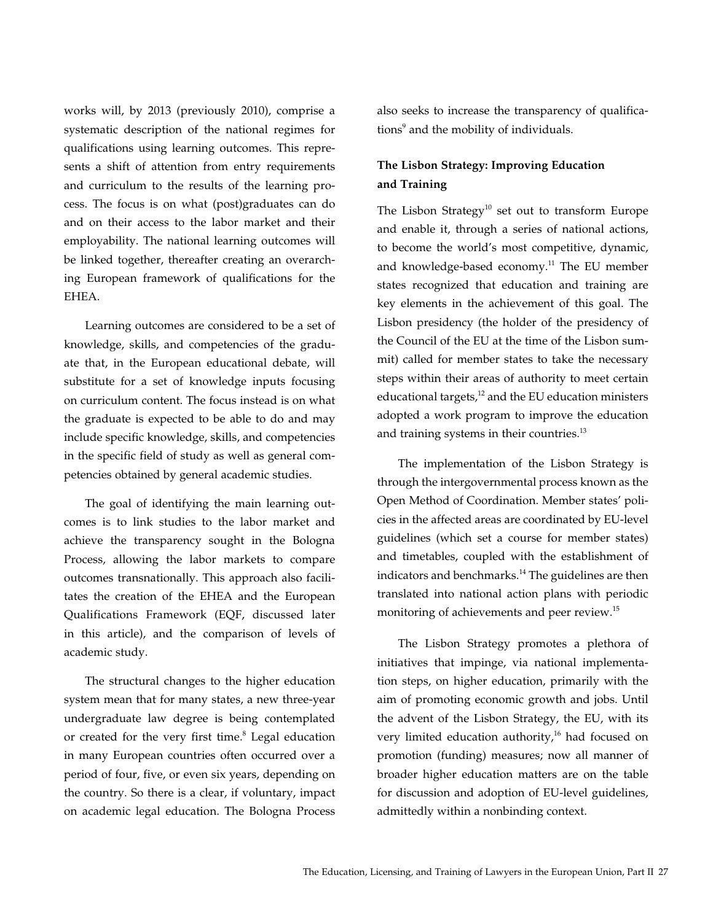works will, by 2013 (previously 2010), comprise a systematic description of the national regimes for qualifications using learning outcomes. This represents a shift of attention from entry requirements and curriculum to the results of the learning process. The focus is on what (post)graduates can do and on their access to the labor market and their employability. The national learning outcomes will be linked together, thereafter creating an overarching European framework of qualifications for the EHEA.

Learning outcomes are considered to be a set of knowledge, skills, and competencies of the graduate that, in the European educational debate, will substitute for a set of knowledge inputs focusing on curriculum content. The focus instead is on what the graduate is expected to be able to do and may include specific knowledge, skills, and competencies in the specific field of study as well as general competencies obtained by general academic studies.

The goal of identifying the main learning outcomes is to link studies to the labor market and achieve the transparency sought in the Bologna Process, allowing the labor markets to compare outcomes transnationally. This approach also facilitates the creation of the EHEA and the European Qualifications Framework (EQF, discussed later in this article), and the comparison of levels of academic study.

The structural changes to the higher education system mean that for many states, a new three-year undergraduate law degree is being contemplated or created for the very first time. $8$  Legal education in many European countries often occurred over a period of four, five, or even six years, depending on the country. So there is a clear, if voluntary, impact on academic legal education. The Bologna Process

also seeks to increase the transparency of qualifications<sup>9</sup> and the mobility of individuals.

## **The Lisbon Strategy: Improving Education and Training**

The Lisbon Strategy<sup>10</sup> set out to transform Europe and enable it, through a series of national actions, to become the world's most competitive, dynamic, and knowledge-based economy. $11$  The EU member states recognized that education and training are key elements in the achievement of this goal. The Lisbon presidency (the holder of the presidency of the Council of the EU at the time of the Lisbon summit) called for member states to take the necessary steps within their areas of authority to meet certain educational targets, $12$  and the EU education ministers adopted a work program to improve the education and training systems in their countries.<sup>13</sup>

The implementation of the Lisbon Strategy is through the intergovernmental process known as the Open Method of Coordination. Member states' policies in the affected areas are coordinated by EU-level guidelines (which set a course for member states) and timetables, coupled with the establishment of indicators and benchmarks.<sup>14</sup> The guidelines are then translated into national action plans with periodic monitoring of achievements and peer review.<sup>15</sup>

The Lisbon Strategy promotes a plethora of initiatives that impinge, via national implementation steps, on higher education, primarily with the aim of promoting economic growth and jobs. Until the advent of the Lisbon Strategy, the EU, with its very limited education authority,<sup>16</sup> had focused on promotion (funding) measures; now all manner of broader higher education matters are on the table for discussion and adoption of EU-level guidelines, admittedly within a nonbinding context.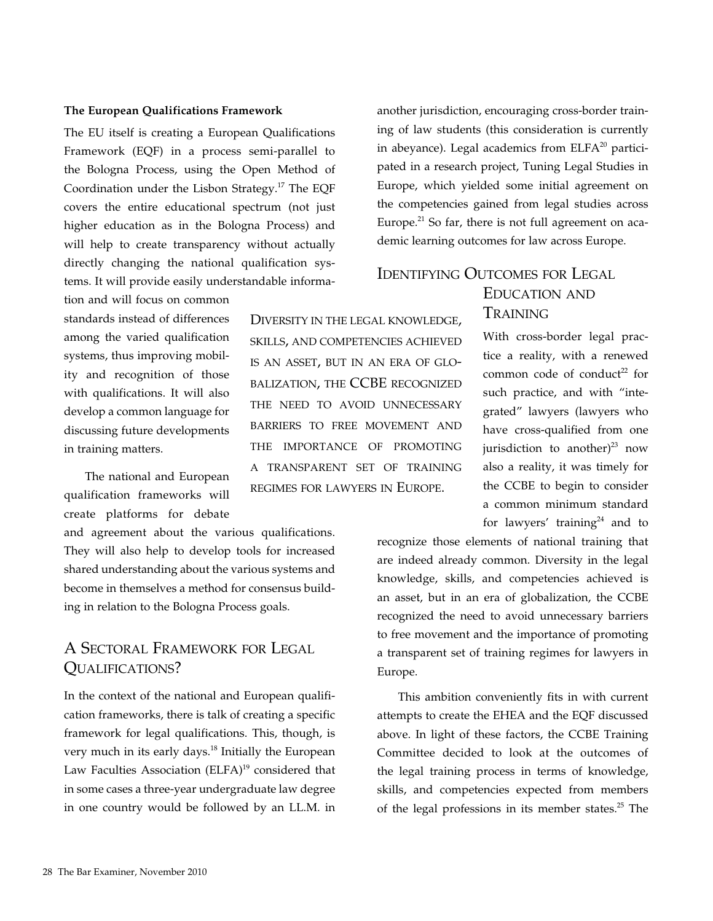#### **The European Qualifications Framework**

The EU itself is creating a European Qualifications Framework (EQF) in a process semi-parallel to the Bologna Process, using the Open Method of Coordination under the Lisbon Strategy.17 The EQF covers the entire educational spectrum (not just higher education as in the Bologna Process) and will help to create transparency without actually directly changing the national qualification systems. It will provide easily understandable informa-

tion and will focus on common standards instead of differences among the varied qualification systems, thus improving mobility and recognition of those with qualifications. It will also develop a common language for discussing future developments in training matters.

The national and European qualification frameworks will create platforms for debate

and agreement about the various qualifications. They will also help to develop tools for increased shared understanding about the various systems and become in themselves a method for consensus building in relation to the Bologna Process goals.

## A Sectoral Framework for Legal Qualifications?

In the context of the national and European qualification frameworks, there is talk of creating a specific framework for legal qualifications. This, though, is very much in its early days.<sup>18</sup> Initially the European Law Faculties Association (ELFA)<sup>19</sup> considered that in some cases a three-year undergraduate law degree in one country would be followed by an LL.M. in

Diversity in the legal knowledge, skills, and competencies achieved is an asset, but in an era of globalization, the CCBE recognized THE NEED TO AVOID UNNECESSARY barriers to free movement and the importance of promoting a transparent set of training regimes for lawyers in Europe.

another jurisdiction, encouraging cross-border training of law students (this consideration is currently in abeyance). Legal academics from  $E LFA^{20}$  participated in a research project, Tuning Legal Studies in Europe, which yielded some initial agreement on the competencies gained from legal studies across Europe. $21$  So far, there is not full agreement on academic learning outcomes for law across Europe.

## Identifying Outcomes for Legal

## Education and **TRAINING**

With cross-border legal practice a reality, with a renewed common code of conduct<sup>22</sup> for such practice, and with "integrated" lawyers (lawyers who have cross-qualified from one jurisdiction to another) $^{23}$  now also a reality, it was timely for the CCBE to begin to consider a common minimum standard for lawyers' training<sup>24</sup> and to

recognize those elements of national training that are indeed already common. Diversity in the legal knowledge, skills, and competencies achieved is an asset, but in an era of globalization, the CCBE recognized the need to avoid unnecessary barriers to free movement and the importance of promoting a transparent set of training regimes for lawyers in Europe.

This ambition conveniently fits in with current attempts to create the EHEA and the EQF discussed above. In light of these factors, the CCBE Training Committee decided to look at the outcomes of the legal training process in terms of knowledge, skills, and competencies expected from members of the legal professions in its member states.<sup>25</sup> The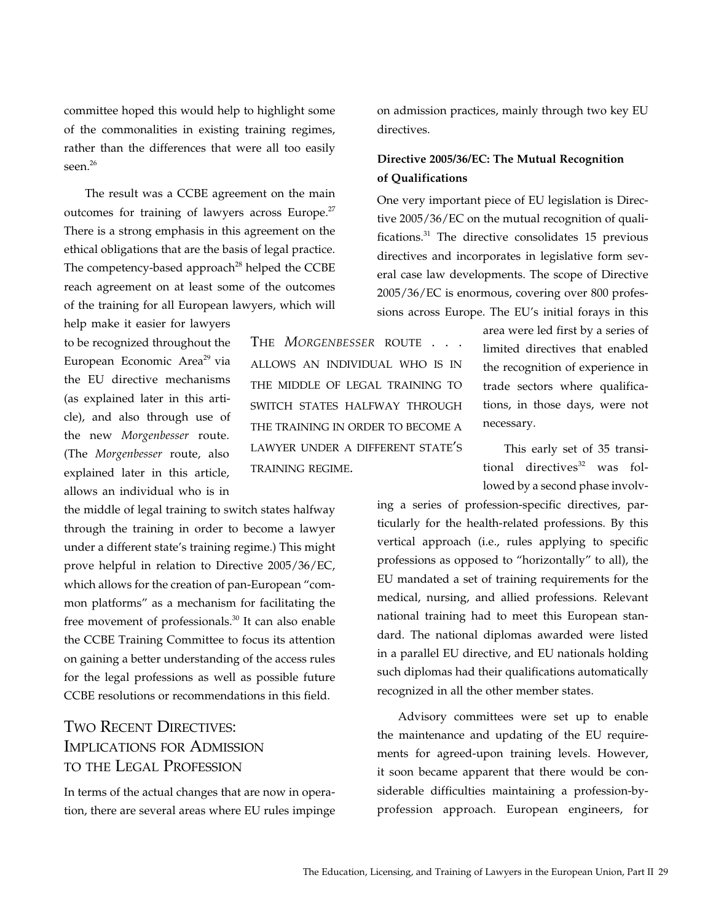committee hoped this would help to highlight some of the commonalities in existing training regimes, rather than the differences that were all too easily seen.<sup>26</sup>

The result was a CCBE agreement on the main outcomes for training of lawyers across Europe.<sup>27</sup> There is a strong emphasis in this agreement on the ethical obligations that are the basis of legal practice. The competency-based approach<sup>28</sup> helped the CCBE reach agreement on at least some of the outcomes of the training for all European lawyers, which will

help make it easier for lawyers to be recognized throughout the European Economic Area<sup>29</sup> via the EU directive mechanisms (as explained later in this article), and also through use of the new *Morgenbesser* route. (The *Morgenbesser* route, also explained later in this article, allows an individual who is in

the middle of legal training to switch states halfway through the training in order to become a lawyer under a different state's training regime.) This might prove helpful in relation to Directive 2005/36/EC, which allows for the creation of pan-European "common platforms" as a mechanism for facilitating the free movement of professionals.<sup>30</sup> It can also enable the CCBE Training Committee to focus its attention on gaining a better understanding of the access rules for the legal professions as well as possible future CCBE resolutions or recommendations in this field.

## Two Recent Directives: Implications for Admission to the Legal Profession

In terms of the actual changes that are now in operation, there are several areas where EU rules impinge

The *Morgenbesser* route . . . allows an individual who is in the middle of legal training to switch states halfway through the training in order to become a lawyer under a different state's training regime.

on admission practices, mainly through two key EU directives.

### **Directive 2005/36/EC: The Mutual Recognition of Qualifications**

One very important piece of EU legislation is Directive 2005/36/EC on the mutual recognition of qualifications.31 The directive consolidates 15 previous directives and incorporates in legislative form several case law developments. The scope of Directive 2005/36/EC is enormous, covering over 800 professions across Europe. The EU's initial forays in this

> area were led first by a series of limited directives that enabled the recognition of experience in trade sectors where qualifications, in those days, were not necessary.

> This early set of 35 transitional directives $32$  was followed by a second phase involv-

ing a series of profession-specific directives, particularly for the health-related professions. By this vertical approach (i.e., rules applying to specific professions as opposed to "horizontally" to all), the EU mandated a set of training requirements for the medical, nursing, and allied professions. Relevant national training had to meet this European standard. The national diplomas awarded were listed in a parallel EU directive, and EU nationals holding such diplomas had their qualifications automatically recognized in all the other member states.

Advisory committees were set up to enable the maintenance and updating of the EU requirements for agreed-upon training levels. However, it soon became apparent that there would be considerable difficulties maintaining a profession-byprofession approach. European engineers, for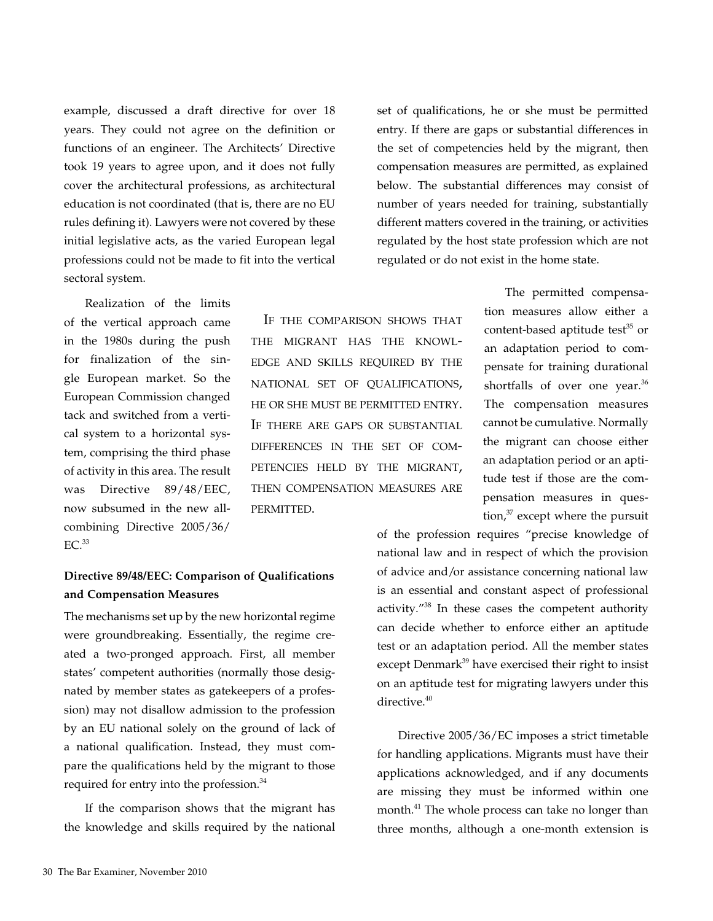example, discussed a draft directive for over 18 years. They could not agree on the definition or functions of an engineer. The Architects' Directive took 19 years to agree upon, and it does not fully cover the architectural professions, as architectural education is not coordinated (that is, there are no EU rules defining it). Lawyers were not covered by these initial legislative acts, as the varied European legal professions could not be made to fit into the vertical sectoral system.

Realization of the limits of the vertical approach came in the 1980s during the push for finalization of the single European market. So the European Commission changed tack and switched from a vertical system to a horizontal system, comprising the third phase of activity in this area. The result was Directive 89/48/EEC, now subsumed in the new allcombining Directive 2005/36/  $EC.<sup>33</sup>$ 

#### **Directive 89/48/EEC: Comparison of Qualifications and Compensation Measures**

permitted.

The mechanisms set up by the new horizontal regime were groundbreaking. Essentially, the regime created a two-pronged approach. First, all member states' competent authorities (normally those designated by member states as gatekeepers of a profession) may not disallow admission to the profession by an EU national solely on the ground of lack of a national qualification. Instead, they must compare the qualifications held by the migrant to those required for entry into the profession.<sup>34</sup>

If the comparison shows that the migrant has the knowledge and skills required by the national set of qualifications, he or she must be permitted entry. If there are gaps or substantial differences in the set of competencies held by the migrant, then compensation measures are permitted, as explained below. The substantial differences may consist of number of years needed for training, substantially different matters covered in the training, or activities regulated by the host state profession which are not regulated or do not exist in the home state.

The permitted compensation measures allow either a content-based aptitude test<sup>35</sup> or an adaptation period to compensate for training durational shortfalls of over one year.<sup>36</sup> The compensation measures cannot be cumulative. Normally the migrant can choose either an adaptation period or an aptitude test if those are the compensation measures in question, $37$  except where the pursuit If the comparison shows that the migrant has the knowledge and skills required by the national set of qualifications, he or she must be permitted entry. If there are gaps or substantial differences in the set of competencies held by the migrant, then compensation measures are

> of the profession requires "precise knowledge of national law and in respect of which the provision of advice and/or assistance concerning national law is an essential and constant aspect of professional activity."38 In these cases the competent authority can decide whether to enforce either an aptitude test or an adaptation period. All the member states except Denmark<sup>39</sup> have exercised their right to insist on an aptitude test for migrating lawyers under this directive.<sup>40</sup>

> Directive 2005/36/EC imposes a strict timetable for handling applications. Migrants must have their applications acknowledged, and if any documents are missing they must be informed within one month.<sup>41</sup> The whole process can take no longer than three months, although a one-month extension is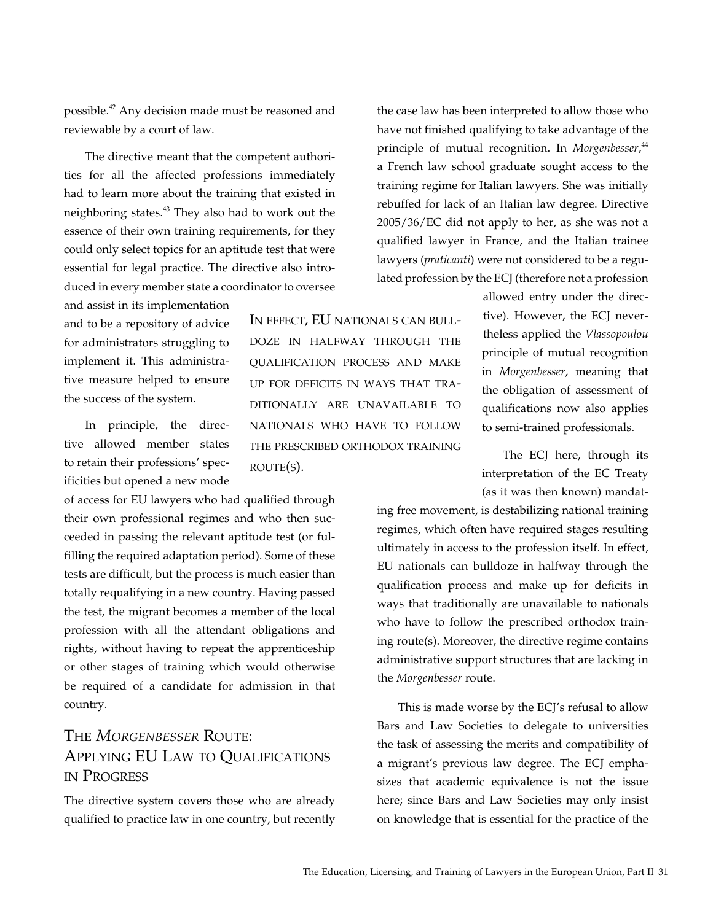possible.<sup>42</sup> Any decision made must be reasoned and reviewable by a court of law.

The directive meant that the competent authorities for all the affected professions immediately had to learn more about the training that existed in neighboring states.<sup>43</sup> They also had to work out the essence of their own training requirements, for they could only select topics for an aptitude test that were essential for legal practice. The directive also introduced in every member state a coordinator to oversee

and assist in its implementation and to be a repository of advice for administrators struggling to implement it. This administrative measure helped to ensure the success of the system.

In principle, the directive allowed member states to retain their professions' specificities but opened a new mode

of access for EU lawyers who had qualified through their own professional regimes and who then succeeded in passing the relevant aptitude test (or fulfilling the required adaptation period). Some of these tests are difficult, but the process is much easier than totally requalifying in a new country. Having passed the test, the migrant becomes a member of the local profession with all the attendant obligations and rights, without having to repeat the apprenticeship or other stages of training which would otherwise be required of a candidate for admission in that country.

# The *Morgenbesser* Route: Applying EU Law to Qualifications in Progress

The directive system covers those who are already qualified to practice law in one country, but recently

In effect, EU nationals can bulldoze in halfway through the qualification process and make up for deficits in ways that traditionally are unavailable to nationals who have to follow the prescribed orthodox training  $ROUTE(S)$ .

the case law has been interpreted to allow those who have not finished qualifying to take advantage of the principle of mutual recognition. In *Morgenbesser*, 44 a French law school graduate sought access to the training regime for Italian lawyers. She was initially rebuffed for lack of an Italian law degree. Directive 2005/36/EC did not apply to her, as she was not a qualified lawyer in France, and the Italian trainee lawyers (*praticanti*) were not considered to be a regulated profession by the ECJ (therefore not a profession

> allowed entry under the directive). However, the ECJ nevertheless applied the *Vlassopoulou* principle of mutual recognition in *Morgenbesser*, meaning that the obligation of assessment of qualifications now also applies to semi-trained professionals.

> The ECJ here, through its interpretation of the EC Treaty (as it was then known) mandat-

ing free movement, is destabilizing national training regimes, which often have required stages resulting ultimately in access to the profession itself. In effect, EU nationals can bulldoze in halfway through the qualification process and make up for deficits in ways that traditionally are unavailable to nationals who have to follow the prescribed orthodox training route(s). Moreover, the directive regime contains administrative support structures that are lacking in the *Morgenbesser* route.

This is made worse by the ECJ's refusal to allow Bars and Law Societies to delegate to universities the task of assessing the merits and compatibility of a migrant's previous law degree. The ECJ emphasizes that academic equivalence is not the issue here; since Bars and Law Societies may only insist on knowledge that is essential for the practice of the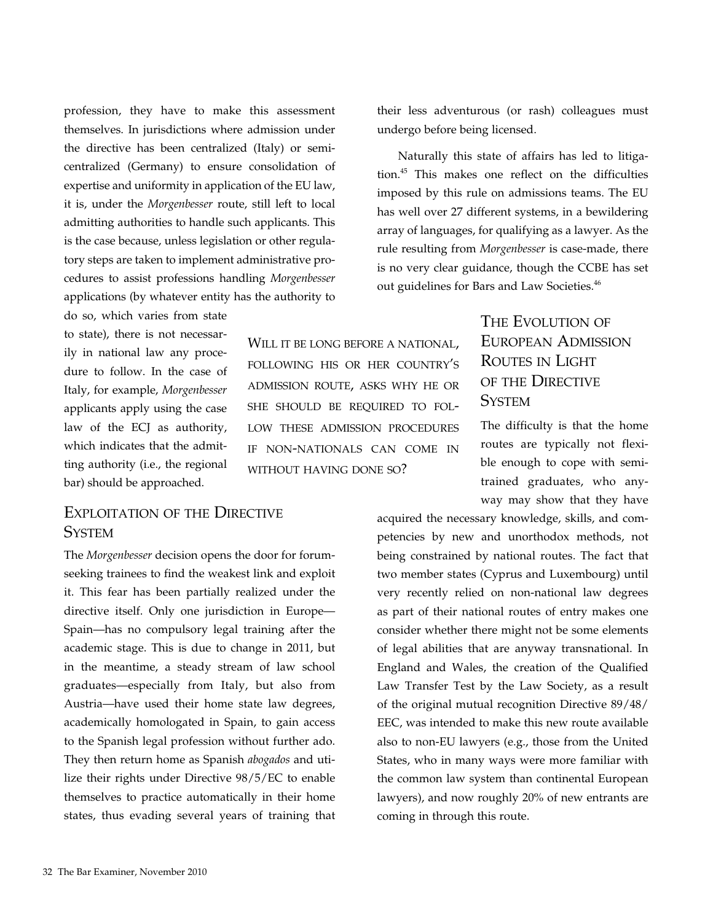profession, they have to make this assessment themselves. In jurisdictions where admission under the directive has been centralized (Italy) or semicentralized (Germany) to ensure consolidation of expertise and uniformity in application of the EU law, it is, under the *Morgenbesser* route, still left to local admitting authorities to handle such applicants. This is the case because, unless legislation or other regulatory steps are taken to implement administrative procedures to assist professions handling *Morgenbesser* applications (by whatever entity has the authority to

do so, which varies from state to state), there is not necessarily in national law any procedure to follow. In the case of Italy, for example, *Morgenbesser* applicants apply using the case law of the ECJ as authority, which indicates that the admitting authority (i.e., the regional bar) should be approached.

## Exploitation of the Directive **System**

The *Morgenbesser* decision opens the door for forumseeking trainees to find the weakest link and exploit it. This fear has been partially realized under the directive itself. Only one jurisdiction in Europe— Spain—has no compulsory legal training after the academic stage. This is due to change in 2011, but in the meantime, a steady stream of law school graduates—especially from Italy, but also from Austria—have used their home state law degrees, academically homologated in Spain, to gain access to the Spanish legal profession without further ado. They then return home as Spanish *abogados* and utilize their rights under Directive 98/5/EC to enable themselves to practice automatically in their home states, thus evading several years of training that

Will it be long before a national, following his or her country's admission route, asks why he or she should be required to follow these admission procedures if non-nationals can come in WITHOUT HAVING DONE SO?

their less adventurous (or rash) colleagues must undergo before being licensed.

Naturally this state of affairs has led to litigation.45 This makes one reflect on the difficulties imposed by this rule on admissions teams. The EU has well over 27 different systems, in a bewildering array of languages, for qualifying as a lawyer. As the rule resulting from *Morgenbesser* is case-made, there is no very clear guidance, though the CCBE has set out guidelines for Bars and Law Societies.<sup>46</sup>

## THE EVOLUTION OF European Admission Routes in Light of the Directive **SYSTEM**

The difficulty is that the home routes are typically not flexible enough to cope with semitrained graduates, who anyway may show that they have

acquired the necessary knowledge, skills, and competencies by new and unorthodox methods, not being constrained by national routes. The fact that two member states (Cyprus and Luxembourg) until very recently relied on non-national law degrees as part of their national routes of entry makes one consider whether there might not be some elements of legal abilities that are anyway transnational. In England and Wales, the creation of the Qualified Law Transfer Test by the Law Society, as a result of the original mutual recognition Directive 89/48/ EEC, was intended to make this new route available also to non-EU lawyers (e.g., those from the United States, who in many ways were more familiar with the common law system than continental European lawyers), and now roughly 20% of new entrants are coming in through this route.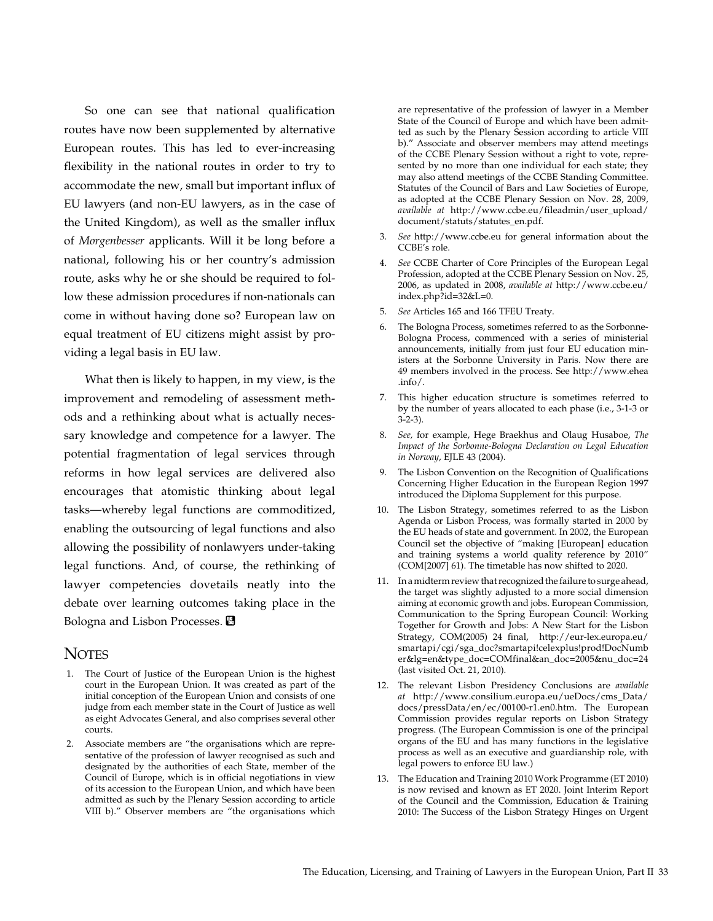So one can see that national qualification routes have now been supplemented by alternative European routes. This has led to ever-increasing flexibility in the national routes in order to try to accommodate the new, small but important influx of EU lawyers (and non-EU lawyers, as in the case of the United Kingdom), as well as the smaller influx of *Morgenbesser* applicants. Will it be long before a national, following his or her country's admission route, asks why he or she should be required to follow these admission procedures if non-nationals can come in without having done so? European law on equal treatment of EU citizens might assist by providing a legal basis in EU law.

What then is likely to happen, in my view, is the improvement and remodeling of assessment methods and a rethinking about what is actually necessary knowledge and competence for a lawyer. The potential fragmentation of legal services through reforms in how legal services are delivered also encourages that atomistic thinking about legal tasks—whereby legal functions are commoditized, enabling the outsourcing of legal functions and also allowing the possibility of nonlawyers under-taking legal functions. And, of course, the rethinking of lawyer competencies dovetails neatly into the debate over learning outcomes taking place in the Bologna and Lisbon Processes. **B** 

#### **NOTES**

- 1. The Court of Justice of the European Union is the highest court in the European Union. It was created as part of the initial conception of the European Union and consists of one judge from each member state in the Court of Justice as well as eight Advocates General, and also comprises several other courts.
- 2. Associate members are "the organisations which are representative of the profession of lawyer recognised as such and designated by the authorities of each State, member of the Council of Europe, which is in official negotiations in view of its accession to the European Union, and which have been admitted as such by the Plenary Session according to article VIII b)." Observer members are "the organisations which

are representative of the profession of lawyer in a Member State of the Council of Europe and which have been admitted as such by the Plenary Session according to article VIII b)." Associate and observer members may attend meetings of the CCBE Plenary Session without a right to vote, represented by no more than one individual for each state; they may also attend meetings of the CCBE Standing Committee. Statutes of the Council of Bars and Law Societies of Europe, as adopted at the CCBE Plenary Session on Nov. 28, 2009, *available at* http://www.ccbe.eu/fileadmin/user\_upload/ document/statuts/statutes\_en.pdf.

- 3. *See* http://www.ccbe.eu for general information about the CCBE's role.
- 4. *See* CCBE Charter of Core Principles of the European Legal Profession, adopted at the CCBE Plenary Session on Nov. 25, 2006, as updated in 2008, *available at* http://www.ccbe.eu/ index.php?id=32&L=0.
- 5. *See* Articles 165 and 166 TFEU Treaty.
- 6. The Bologna Process, sometimes referred to as the Sorbonne-Bologna Process, commenced with a series of ministerial announcements, initially from just four EU education ministers at the Sorbonne University in Paris. Now there are 49 members involved in the process. See http://www.ehea .info/.
- 7. This higher education structure is sometimes referred to by the number of years allocated to each phase (i.e., 3-1-3 or 3-2-3).
- 8. *See,* for example, Hege Braekhus and Olaug Husaboe, *The Impact of the Sorbonne-Bologna Declaration on Legal Education in Norway*, EJLE 43 (2004).
- 9. The Lisbon Convention on the Recognition of Qualifications Concerning Higher Education in the European Region 1997 introduced the Diploma Supplement for this purpose.
- 10. The Lisbon Strategy, sometimes referred to as the Lisbon Agenda or Lisbon Process, was formally started in 2000 by the EU heads of state and government. In 2002, the European Council set the objective of "making [European] education and training systems a world quality reference by 2010" (COM[2007] 61). The timetable has now shifted to 2020.
- 11. In a midterm review that recognized the failure to surge ahead, the target was slightly adjusted to a more social dimension aiming at economic growth and jobs. European Commission, Communication to the Spring European Council: Working Together for Growth and Jobs: A New Start for the Lisbon Strategy, COM(2005) 24 final, http://eur-lex.europa.eu/ smartapi/cgi/sga\_doc?smartapi!celexplus!prod!DocNumb er&lg=en&type\_doc=COMfinal&an\_doc=2005&nu\_doc=24 (last visited Oct. 21, 2010).
- 12. The relevant Lisbon Presidency Conclusions are *available at* http://www.consilium.europa.eu/ueDocs/cms\_Data/ docs/pressData/en/ec/00100-r1.en0.htm. The European Commission provides regular reports on Lisbon Strategy progress. (The European Commission is one of the principal organs of the EU and has many functions in the legislative process as well as an executive and guardianship role, with legal powers to enforce EU law.)
- 13. The Education and Training 2010 Work Programme (ET 2010) is now revised and known as ET 2020. Joint Interim Report of the Council and the Commission, Education & Training 2010: The Success of the Lisbon Strategy Hinges on Urgent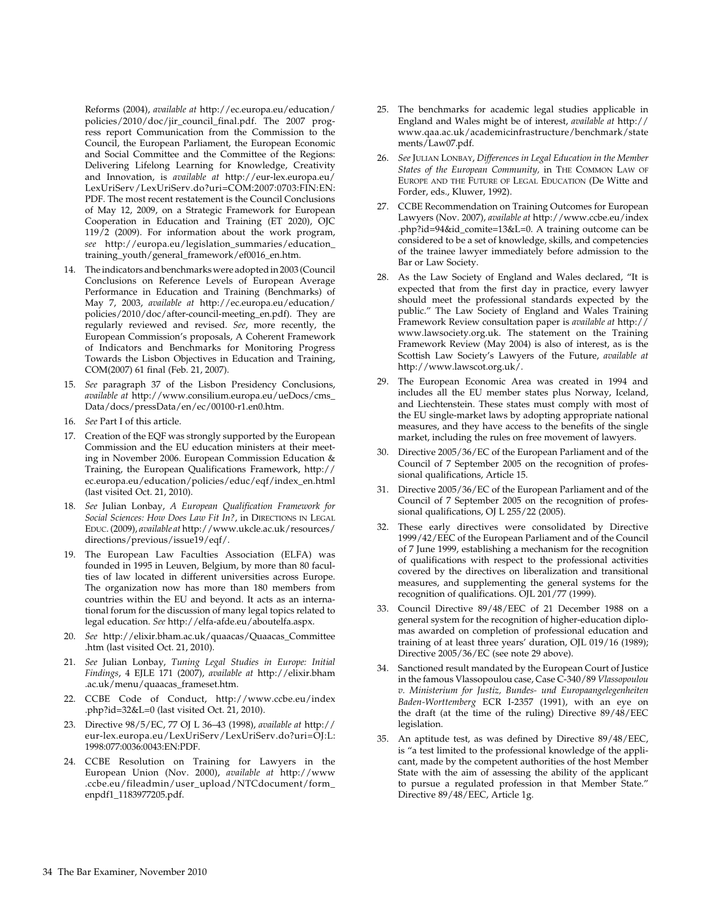Reforms (2004), *available at* http://ec.europa.eu/education/ policies/2010/doc/jir\_council\_final.pdf. The 2007 progress report Communication from the Commission to the Council, the European Parliament, the European Economic and Social Committee and the Committee of the Regions: Delivering Lifelong Learning for Knowledge, Creativity and Innovation, is *available at* http://eur-lex.europa.eu/ LexUriServ/LexUriServ.do?uri=COM:2007:0703:FIN:EN: PDF. The most recent restatement is the Council Conclusions of May 12, 2009, on a Strategic Framework for European Cooperation in Education and Training (ET 2020), OJC 119/2 (2009). For information about the work program, *see* http://europa.eu/legislation\_summaries/education\_ training\_youth/general\_framework/ef0016\_en.htm.

- 14. The indicators and benchmarks were adopted in 2003 (Council Conclusions on Reference Levels of European Average Performance in Education and Training (Benchmarks) of May 7, 2003, *available at* http://ec.europa.eu/education/ policies/2010/doc/after-council-meeting\_en.pdf). They are regularly reviewed and revised. *See*, more recently, the European Commission's proposals, A Coherent Framework of Indicators and Benchmarks for Monitoring Progress Towards the Lisbon Objectives in Education and Training, COM(2007) 61 final (Feb. 21, 2007).
- 15. *See* paragraph 37 of the Lisbon Presidency Conclusions, *available at* http://www.consilium.europa.eu/ueDocs/cms\_ Data/docs/pressData/en/ec/00100-r1.en0.htm.
- 16. *See* Part I of this article.
- 17. Creation of the EQF was strongly supported by the European Commission and the EU education ministers at their meeting in November 2006. European Commission Education & Training, the European Qualifications Framework, http:// ec.europa.eu/education/policies/educ/eqf/index\_en.html (last visited Oct. 21, 2010).
- 18. *See* Julian Lonbay, *A European Qualification Framework for*  Social Sciences: How Does Law Fit In?, in DIRECTIONS IN LEGAL Educ. (2009), *available at* http://www.ukcle.ac.uk/resources/ directions/previous/issue19/eqf/.
- 19. The European Law Faculties Association (ELFA) was founded in 1995 in Leuven, Belgium, by more than 80 faculties of law located in different universities across Europe. The organization now has more than 180 members from countries within the EU and beyond. It acts as an international forum for the discussion of many legal topics related to legal education. *See* http://elfa-afde.eu/aboutelfa.aspx.
- 20. *See* http://elixir.bham.ac.uk/quaacas/Quaacas\_Committee .htm (last visited Oct. 21, 2010).
- 21. *See* Julian Lonbay, *Tuning Legal Studies in Europe: Initial Findings*, 4 EJLE 171 (2007), *available at* http://elixir.bham .ac.uk/menu/quaacas\_frameset.htm.
- 22. CCBE Code of Conduct, http://www.ccbe.eu/index .php?id=32&L=0 (last visited Oct. 21, 2010).
- 23. Directive 98/5/EC, 77 OJ L 36–43 (1998), *available at* http:// eur-lex.europa.eu/LexUriServ/LexUriServ.do?uri=OJ:L: 1998:077:0036:0043:EN:PDF.
- 24. CCBE Resolution on Training for Lawyers in the European Union (Nov. 2000), *available at* http://www .ccbe.eu/fileadmin/user\_upload/NTCdocument/form\_ enpdf1\_1183977205.pdf.
- 25. The benchmarks for academic legal studies applicable in England and Wales might be of interest, *available at* http:// www.qaa.ac.uk/academicinfrastructure/benchmark/state ments/Law07.pdf.
- 26. *See* Julian Lonbay, *Differences in Legal Education in the Member States of the European Community,* in The Common Law of Europe and the Future of Legal Education (De Witte and Forder, eds., Kluwer, 1992).
- 27. CCBE Recommendation on Training Outcomes for European Lawyers (Nov. 2007), *available at* http://www.ccbe.eu/index .php?id=94&id\_comite=13&L=0. A training outcome can be considered to be a set of knowledge, skills, and competencies of the trainee lawyer immediately before admission to the Bar or Law Society.
- 28. As the Law Society of England and Wales declared, "It is expected that from the first day in practice, every lawyer should meet the professional standards expected by the public." The Law Society of England and Wales Training Framework Review consultation paper is *available at* http:// www.lawsociety.org.uk. The statement on the Training Framework Review (May 2004) is also of interest, as is the Scottish Law Society's Lawyers of the Future, *available at*  http://www.lawscot.org.uk/.
- 29. The European Economic Area was created in 1994 and includes all the EU member states plus Norway, Iceland, and Liechtenstein. These states must comply with most of the EU single-market laws by adopting appropriate national measures, and they have access to the benefits of the single market, including the rules on free movement of lawyers.
- 30. Directive 2005/36/EC of the European Parliament and of the Council of 7 September 2005 on the recognition of professional qualifications, Article 15.
- 31. Directive 2005/36/EC of the European Parliament and of the Council of 7 September 2005 on the recognition of professional qualifications, OJ L 255/22 (2005).
- 32. These early directives were consolidated by Directive 1999/42/EEC of the European Parliament and of the Council of 7 June 1999, establishing a mechanism for the recognition of qualifications with respect to the professional activities covered by the directives on liberalization and transitional measures, and supplementing the general systems for the recognition of qualifications. OJL 201/77 (1999).
- 33. Council Directive 89/48/EEC of 21 December 1988 on a general system for the recognition of higher-education diplomas awarded on completion of professional education and training of at least three years' duration, OJL 019/16 (1989); Directive 2005/36/EC (see note 29 above).
- 34. Sanctioned result mandated by the European Court of Justice in the famous Vlassopoulou case, Case C-340/89 *Vlassopoulou v. Ministerium for Justiz, Bundes- und Europaangelegenheiten Baden-Worttemberg* ECR I-2357 (1991), with an eye on the draft (at the time of the ruling) Directive 89/48/EEC legislation.
- 35. An aptitude test, as was defined by Directive 89/48/EEC, is "a test limited to the professional knowledge of the applicant, made by the competent authorities of the host Member State with the aim of assessing the ability of the applicant to pursue a regulated profession in that Member State." Directive 89/48/EEC, Article 1g.